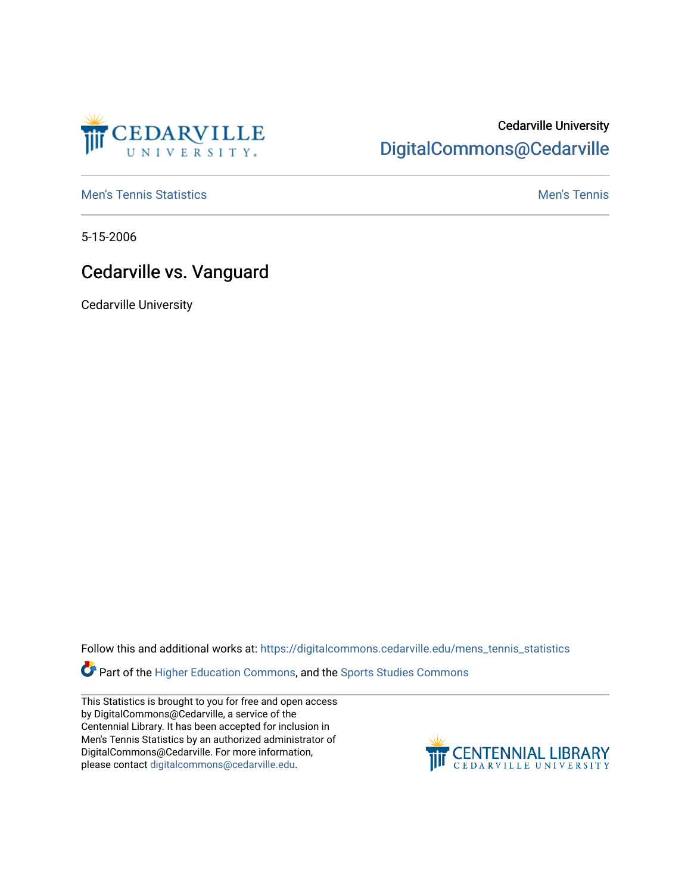

## Cedarville University [DigitalCommons@Cedarville](https://digitalcommons.cedarville.edu/)

**[Men's Tennis Statistics](https://digitalcommons.cedarville.edu/mens_tennis_statistics) Mental According to the Control of Control According Mental Men's Tennis** 

5-15-2006

## Cedarville vs. Vanguard

Cedarville University

Follow this and additional works at: [https://digitalcommons.cedarville.edu/mens\\_tennis\\_statistics](https://digitalcommons.cedarville.edu/mens_tennis_statistics?utm_source=digitalcommons.cedarville.edu%2Fmens_tennis_statistics%2F636&utm_medium=PDF&utm_campaign=PDFCoverPages)

Part of the [Higher Education Commons,](http://network.bepress.com/hgg/discipline/1245?utm_source=digitalcommons.cedarville.edu%2Fmens_tennis_statistics%2F636&utm_medium=PDF&utm_campaign=PDFCoverPages) and the [Sports Studies Commons](http://network.bepress.com/hgg/discipline/1198?utm_source=digitalcommons.cedarville.edu%2Fmens_tennis_statistics%2F636&utm_medium=PDF&utm_campaign=PDFCoverPages) 

This Statistics is brought to you for free and open access by DigitalCommons@Cedarville, a service of the Centennial Library. It has been accepted for inclusion in Men's Tennis Statistics by an authorized administrator of DigitalCommons@Cedarville. For more information, please contact [digitalcommons@cedarville.edu](mailto:digitalcommons@cedarville.edu).